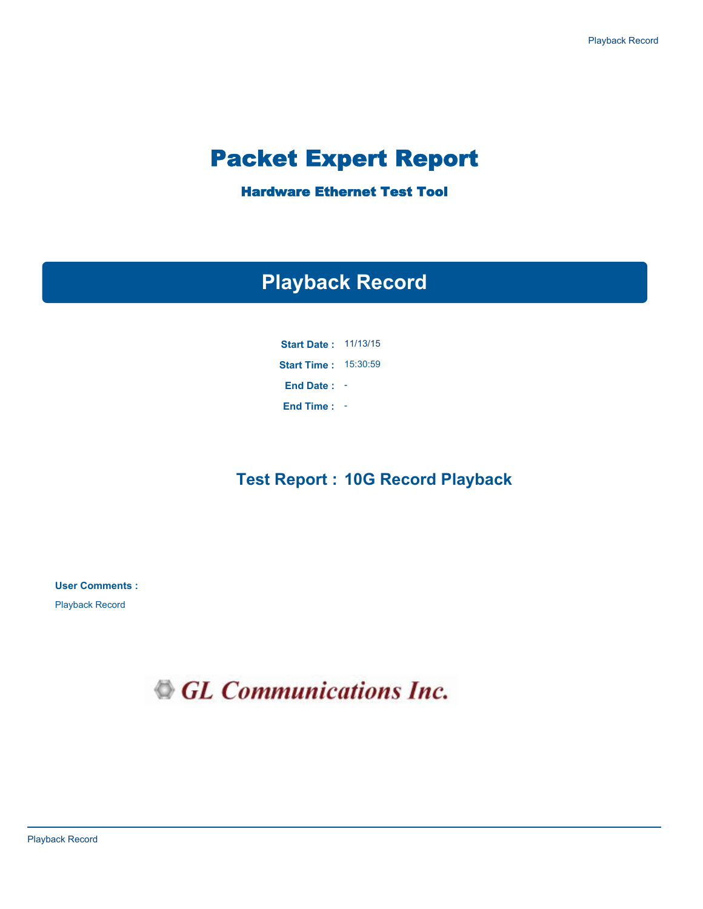# Packet Expert Report

Hardware Ethernet Test Tool

# **Playback Record**

**Start Date :**  11/13/15 **Start Time :** 15:30:59 **End Time :** - **End Date :** -

### **Test Report : 10G Record Playback**

**User Comments :**

Playback Record

GL Communications Inc.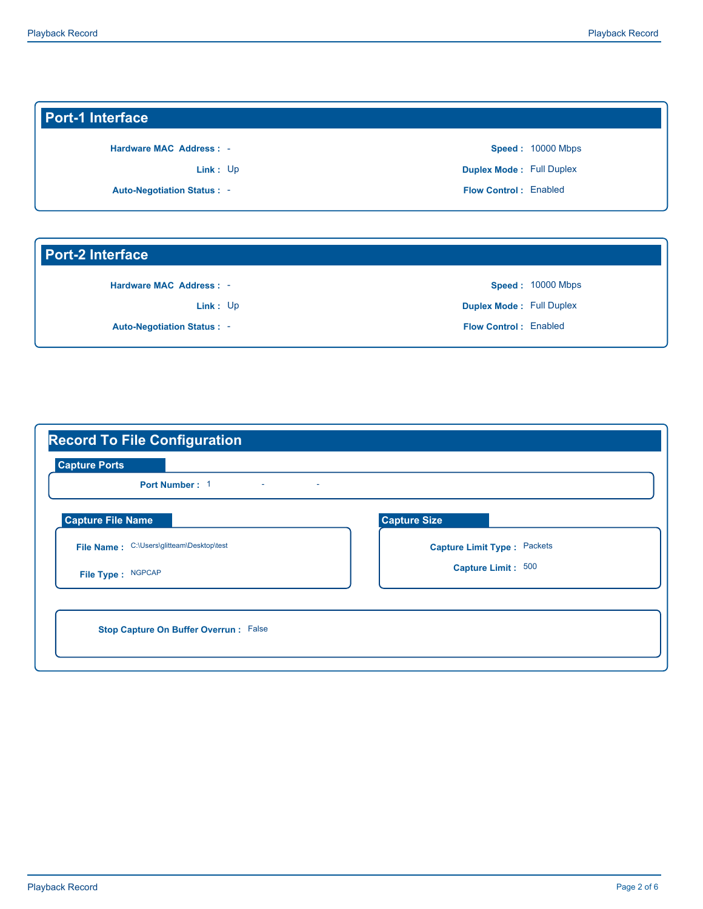### **Port-1 Interface**

**Hardware MAC Address :** -

Link: Up

**Auto-Negotiation Status :** -

**Flow Control :** Enabled **Duplex Mode :** Full Duplex **Speed :**  10000 Mbps

#### **Port-2 Interface**

**Hardware MAC Address :** -

Link: Up

**Auto-Negotiation Status :** -

**Flow Control :** Enabled **Duplex Mode :** Full Duplex **Speed :**  10000 Mbps

| <b>Capture Ports</b><br>Port Number: 1<br>$\sim$ | ×.                           |
|--------------------------------------------------|------------------------------|
| <b>Capture File Name</b>                         | <b>Capture Size</b>          |
| File Name: C:\Users\glitteam\Desktop\test        | Capture Limit Type : Packets |
| File Type: NGPCAP                                | Capture Limit: 500           |
|                                                  |                              |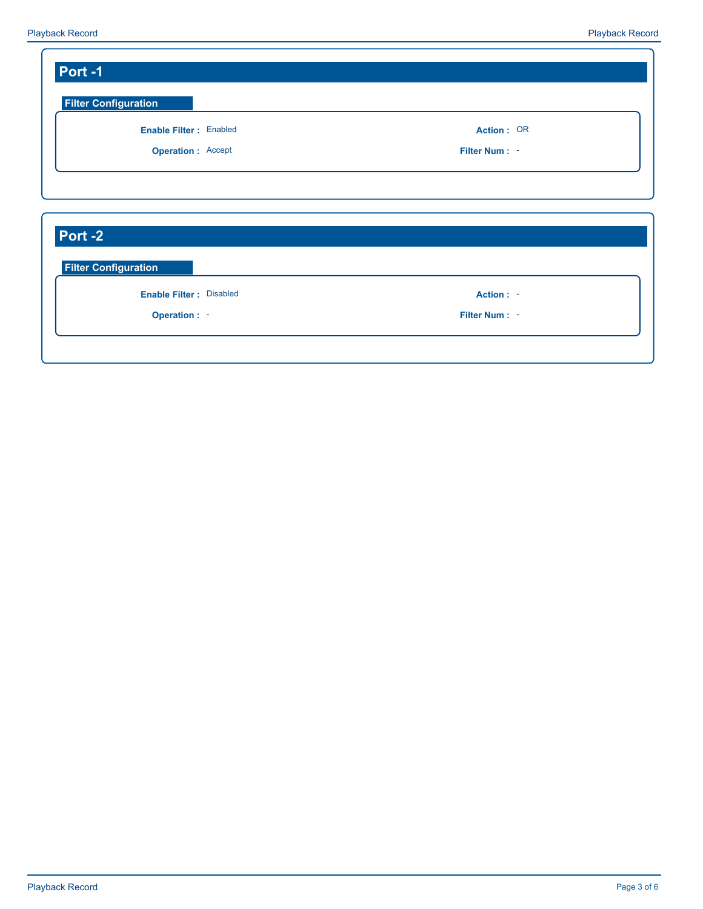| <b>Filter Configuration</b>                                             |               |
|-------------------------------------------------------------------------|---------------|
| <b>Enable Filter: Enabled</b>                                           | Action: OR    |
| <b>Operation: Accept</b>                                                | Filter Num: - |
|                                                                         |               |
|                                                                         |               |
|                                                                         |               |
| Port-2<br><b>Filter Configuration</b><br><b>Enable Filter: Disabled</b> | Action : -    |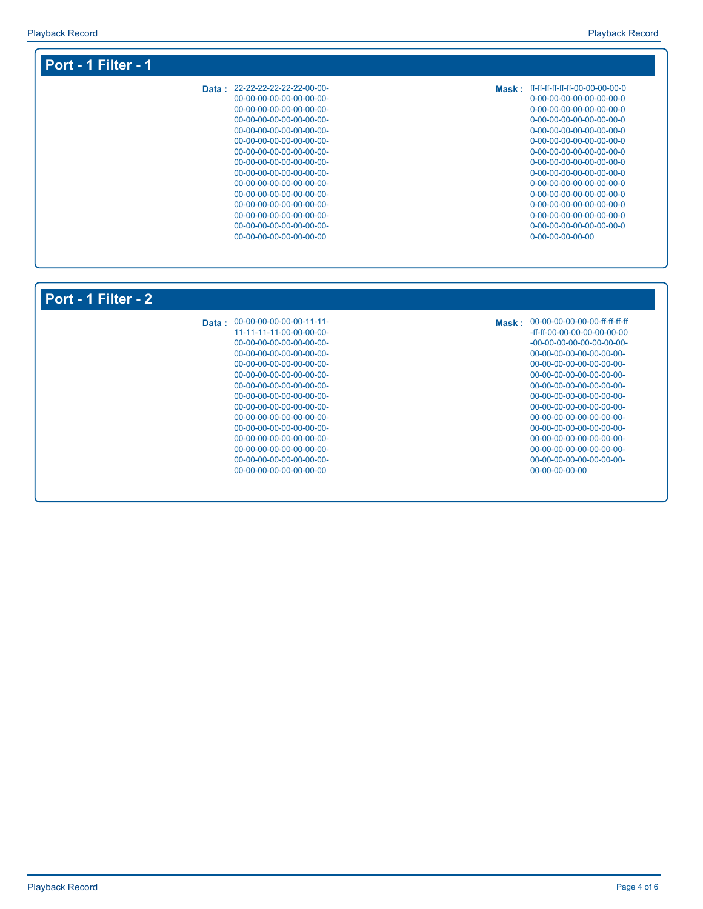| Data: 22-22-22-22-22-22-00-00- | Mask: ff-ff-ff-ff-ff-ff-00-00-00-00-0 |
|--------------------------------|---------------------------------------|
| 00-00-00-00-00-00-00-00-       | 0-00-00-00-00-00-00-00-0              |
| 00-00-00-00-00-00-00-00-       | 0-00-00-00-00-00-00-00-0              |
| 00-00-00-00-00-00-00-00-       | 0-00-00-00-00-00-00-00-0              |
| 00-00-00-00-00-00-00-00-       | 0-00-00-00-00-00-00-00-0              |
| 00-00-00-00-00-00-00-00-       | 0-00-00-00-00-00-00-00-0              |
| 00-00-00-00-00-00-00-00-       | 0-00-00-00-00-00-00-00-0              |
| 00-00-00-00-00-00-00-00-       | 0-00-00-00-00-00-00-00-0              |
| 00-00-00-00-00-00-00-00-       | 0-00-00-00-00-00-00-00-0              |
| 00-00-00-00-00-00-00-00-       | 0-00-00-00-00-00-00-00-0              |
| 00-00-00-00-00-00-00-00-       | 0-00-00-00-00-00-00-00-0              |
| 00-00-00-00-00-00-00-00-       | 0-00-00-00-00-00-00-00-0              |
| 00-00-00-00-00-00-00-00-       | 0-00-00-00-00-00-00-00-0              |
| 00-00-00-00-00-00-00-00-       | 0-00-00-00-00-00-00-00-0              |
| 00-00-00-00-00-00-00-00        | $0 - 00 - 00 - 00 - 00 - 00$          |

| Port - 1 Filter - 2 |                                |                                     |
|---------------------|--------------------------------|-------------------------------------|
|                     | Data: 00-00-00-00-00-00-11-11- | Mask: 00-00-00-00-00-00-ff-ff-ff-ff |
|                     | 11-11-11-11-00-00-00-00-       | -ff-ff-00-00-00-00-00-00-00         |
|                     | 00-00-00-00-00-00-00-00-       | $-00-00-00-00-00-00-00-00-$         |
|                     | 00-00-00-00-00-00-00-00-       | 00-00-00-00-00-00-00-00-            |
|                     | $00-00-00-00-00-00-00-00-$     | 00-00-00-00-00-00-00-00-            |
|                     | 00-00-00-00-00-00-00-00-       | 00-00-00-00-00-00-00-00-            |
|                     | 00-00-00-00-00-00-00-00-       | 00-00-00-00-00-00-00-00-            |
|                     | 00-00-00-00-00-00-00-00-       | 00-00-00-00-00-00-00-00-            |
|                     | 00-00-00-00-00-00-00-00-       | 00-00-00-00-00-00-00-00-            |
|                     | 00-00-00-00-00-00-00-00-       | 00-00-00-00-00-00-00-00-            |
|                     | 00-00-00-00-00-00-00-00-       | 00-00-00-00-00-00-00-00-            |
|                     | $00-00-00-00-00-00-00-00-$     | 00-00-00-00-00-00-00-00-            |
|                     | 00-00-00-00-00-00-00-00-       | 00-00-00-00-00-00-00-00-            |
|                     | $00-00-00-00-00-00-00-00-$     | 00-00-00-00-00-00-00-00-            |
|                     | 00-00-00-00-00-00-00-00        | $00-00-00-00-00$                    |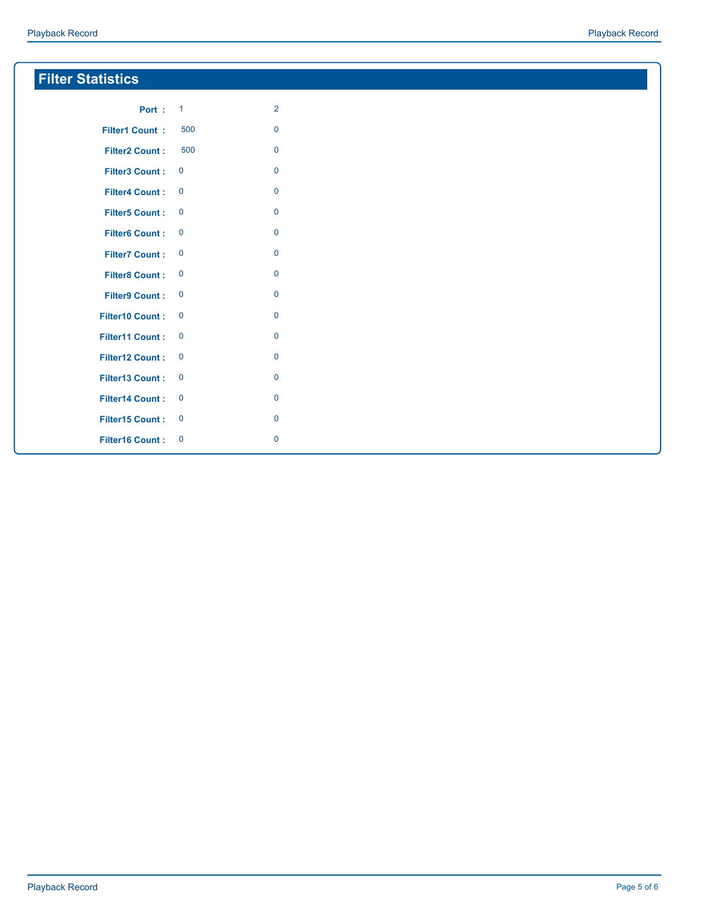| <b>Filter Statistics</b> |                  |                |
|--------------------------|------------------|----------------|
| <b>Port: 1</b>           |                  | $\overline{2}$ |
| <b>Filter1 Count:</b>    | 500              | $\mathbf 0$    |
| <b>Filter2 Count:</b>    | 500              | $\mathbf 0$    |
| <b>Filter3 Count:</b>    | $\mathbf 0$      | $\mathbf 0$    |
| <b>Filter4 Count:</b>    | $\mathbf 0$      | $\mathbf 0$    |
| <b>Filter5 Count:</b>    | $\mathbf 0$      | $\mathbf 0$    |
| <b>Filter6 Count:</b>    | $\mathbf 0$      | $\mathbf 0$    |
| <b>Filter7 Count:</b>    | $\mathbf 0$      | $\mathbf 0$    |
| <b>Filter8 Count:</b>    | $\mathbf 0$      | $\mathbf 0$    |
| <b>Filter9 Count:</b>    | $\boldsymbol{0}$ | $\mathbf 0$    |
| <b>Filter10 Count:</b>   | $\mathbf 0$      | $\mathbf 0$    |
| Filter11 Count:          | $\mathbf 0$      | $\mathbf 0$    |
| Filter12 Count:          | $\mathbf 0$      | $\mathbf 0$    |
| Filter13 Count:          | $\mathbf 0$      | $\mathbf 0$    |
| <b>Filter14 Count:</b>   | $\mathbf 0$      | $\mathbf 0$    |
| Filter15 Count:          | $\mathbf 0$      | $\mathbf 0$    |
| <b>Filter16 Count:</b>   | $\mathbf 0$      | $\mathbf 0$    |